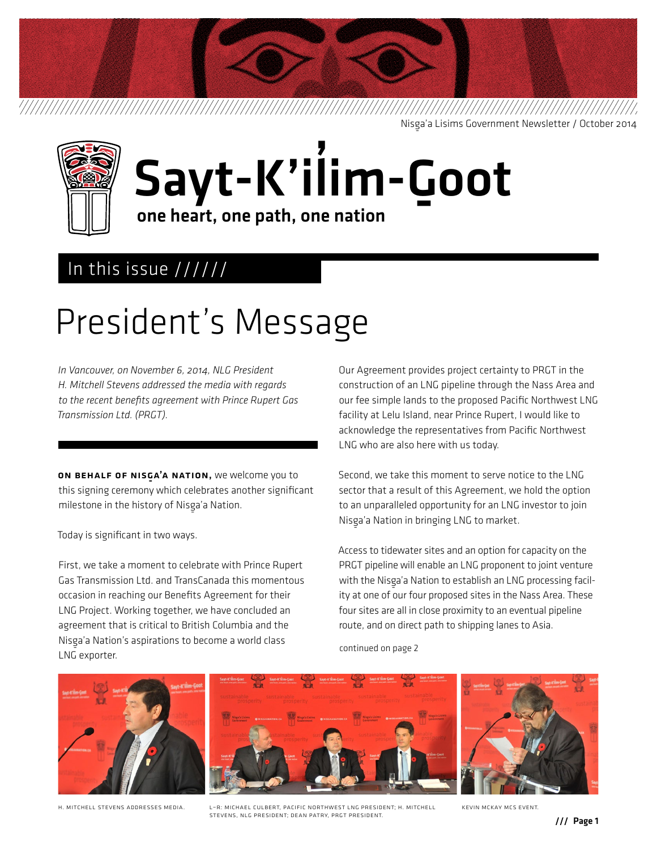Nisga'a Lisims Government Newsletter / October 2014



#### Sayt-K'il **'** im-G <u>ب</u><br>oot one heart, one path, one nation

### In this issue //////

## President's Message

*In Vancouver, on November 6, 2014, NLG President H. Mitchell Stevens addressed the media with regards to the recent benefits agreement with Prince Rupert Gas Transmission Ltd. (PRGT).*

ON BEHALF OF NISGA'A NATION, we welcome you to this signing ceremony which celebrates another significant milestone in the history of Nisga'a Nation.<br>'

Today is significant in two ways.

First, we take a moment to celebrate with Prince Rupert Gas Transmission Ltd. and TransCanada this momentous occasion in reaching our Benefits Agreement for their LNG Project. Working together, we have concluded an agreement that is critical to British Columbia and the Nisga'a Nation's aspirations to become a world class<br>. LNG exporter.

Our Agreement provides project certainty to PRGT in the construction of an LNG pipeline through the Nass Area and our fee simple lands to the proposed Pacific Northwest LNG facility at Lelu Island, near Prince Rupert, I would like to acknowledge the representatives from Pacific Northwest LNG who are also here with us today.

Second, we take this moment to serve notice to the LNG sector that a result of this Agreement, we hold the option to an unparalleled opportunity for an LNG investor to join Nisga'a Nation in bringing LNG to market.

Access to tidewater sites and an option for capacity on the PRGT pipeline will enable an LNG proponent to joint venture with the Nisga'a Nation to establish an LNG processing facility at one of our four proposed sites in the Nass Area. These four sites are all in close proximity to an eventual pipeline route, and on direct path to shipping lanes to Asia.

continued on page 2



H. Mitchell Stevens addresses media. L–R: michael culbert, pacific northwest lng president; H. Mitchell Kevin Mckay mcs event. Stevens, NLG President; dean Patry, PRGT president.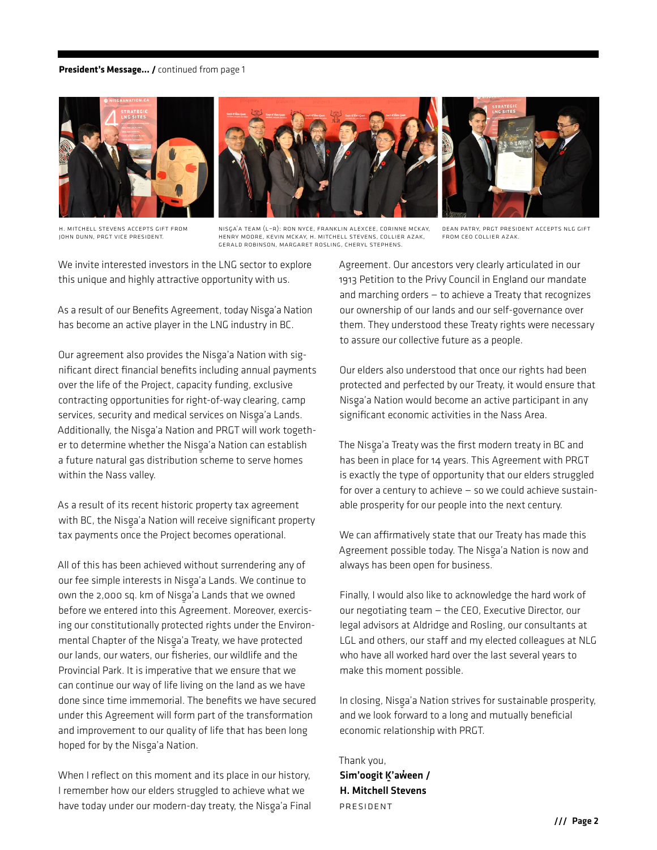#### **President's Message... /** continued from page 1



H. Mitchell Stevens accepts gift from John Dunn, PRGT Vice president.

nisg a'a team (L–R): ron nyce, Franklin Alexcee, corinne mckay, -henry moore, Kevin Mckay, H. Mitchell Stevens, collier azak, Gerald robinson, Margaret rosling, cheryl stephens.

dean Patry, PRGT president accepts nlg gift from ceo collier azak.

We invite interested investors in the LNG sector to explore this unique and highly attractive opportunity with us.

As a result of our Benefits Agreement, today Nisga'a Nation<br>. has become an active player in the LNG industry in BC.

Our agreement also provides the Nisga'a Nation with significant direct financial benefits including annual payments over the life of the Project, capacity funding, exclusive contracting opportunities for right-of-way clearing, camp services, security and medical services on Nisga'a Lands.<br>A LUI LANDS WARD ON MEDICAL WARD OF THE RESERVE Additionally, the Nisga'a Nation and PRGT will work together to determine whether the Nisga'a Nation can establish a future natural gas distribution scheme to serve homes within the Nass valley.

As a result of its recent historic property tax agreement with BC, the Nisga'a Nation will receive significant property<br>——————————————————— tax payments once the Project becomes operational.

All of this has been achieved without surrendering any of our fee simple interests in Nisga'a Lands. We continue to own the 2,000 sq. km of Nisga'a Lands that we owned<br>. before we entered into this Agreement. Moreover, exercising our constitutionally protected rights under the Environmental Chapter of the Nisg‑ a'a Treaty, we have protected our lands, our waters, our fisheries, our wildlife and the Provincial Park. It is imperative that we ensure that we can continue our way of life living on the land as we have done since time immemorial. The benefits we have secured under this Agreement will form part of the transformation and improvement to our quality of life that has been long hoped for by the Nisga'a Nation.<br>'

When I reflect on this moment and its place in our history, I remember how our elders struggled to achieve what we have today under our modern-day treaty, the Nisga'a Final Agreement. Our ancestors very clearly articulated in our 1913 Petition to the Privy Council in England our mandate and marching orders — to achieve a Treaty that recognizes our ownership of our lands and our self-governance over them. They understood these Treaty rights were necessary to assure our collective future as a people.

Our elders also understood that once our rights had been protected and perfected by our Treaty, it would ensure that Nisga'a Nation would become an active participant in any significant economic activities in the Nass Area.

The Nisg‑ a'a Treaty was the first modern treaty in BC and has been in place for 14 years. This Agreement with PRGT is exactly the type of opportunity that our elders struggled for over a century to achieve  $-$  so we could achieve sustainable prosperity for our people into the next century.

We can affirmatively state that our Treaty has made this Agreement possible today. The Nisga'a Nation is now and always has been open for business.

Finally, I would also like to acknowledge the hard work of our negotiating team — the CEO, Executive Director, our legal advisors at Aldridge and Rosling, our consultants at LGL and others, our staff and my elected colleagues at NLG who have all worked hard over the last several years to make this moment possible.

In closing, Nisga'a Nation strives for sustainable prosperity, and we look forward to a long and mutually beneficial economic relationship with PRGT.

Thank you, Sim'oogit K'aẃeen / H. Mitchell Stevens President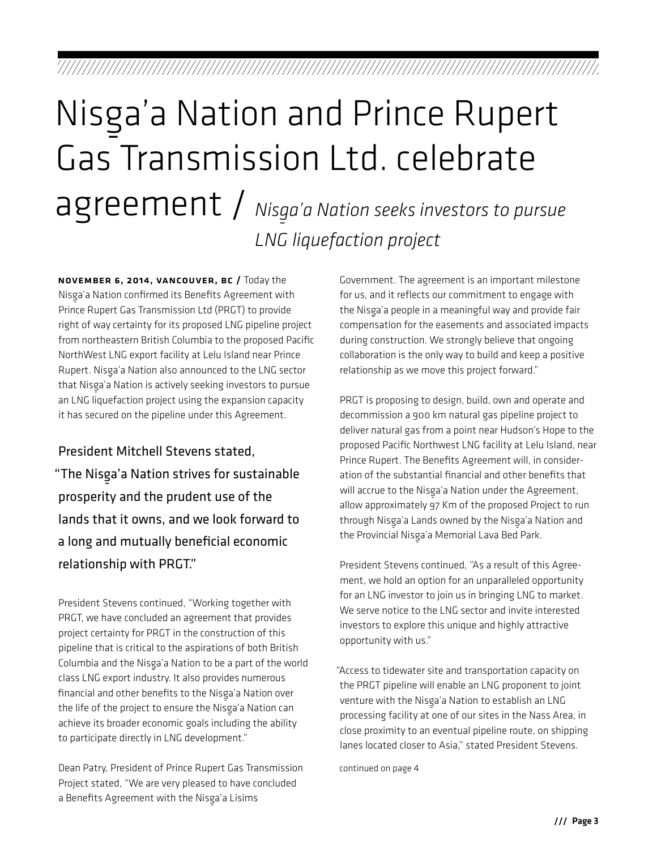## Nisga'a Nation and Prince Rupert Gas Transmission Ltd. celebrate agreement / *Nisga'a Nation seeks investors to pursue LNG liquefaction project*

November 6, 2014, Vancouver, BC / Today the Nisg‑ a'a Nation confirmed its Benefits Agreement with Prince Rupert Gas Transmission Ltd (PRGT) to provide right of way certainty for its proposed LNG pipeline project from northeastern British Columbia to the proposed Pacific NorthWest LNG export facility at Lelu Island near Prince Rupert. Nisga'a Nation also announced to the LNG sector that Nisga'a Nation is actively seeking investors to pursue<br>——————————————————— an LNG liquefaction project using the expansion capacity it has secured on the pipeline under this Agreement.

President Mitchell Stevens stated, "The Nisga'a Nation strives for sustainable prosperity and the prudent use of the lands that it owns, and we look forward to a long and mutually beneficial economic relationship with PRGT."

President Stevens continued, "Working together with PRGT, we have concluded an agreement that provides project certainty for PRGT in the construction of this pipeline that is critical to the aspirations of both British Columbia and the Nisga'a Nation to be a part of the world class LNG export industry. It also provides numerous financial and other benefits to the Nisga'a Nation over the life of the project to ensure the Nisg‑ a'a Nation can achieve its broader economic goals including the ability to participate directly in LNG development."

Dean Patry, President of Prince Rupert Gas Transmission Project stated, "We are very pleased to have concluded a Benefits Agreement with the Nisga'a Lisims

Government. The agreement is an important milestone for us, and it reflects our commitment to engage with the Nisga'a people in a meaningful way and provide fair compensation for the easements and associated impacts during construction. We strongly believe that ongoing collaboration is the only way to build and keep a positive relationship as we move this project forward."

PRGT is proposing to design, build, own and operate and decommission a 900 km natural gas pipeline project to deliver natural gas from a point near Hudson's Hope to the proposed Pacific Northwest LNG facility at Lelu Island, near Prince Rupert. The Benefits Agreement will, in consideration of the substantial financial and other benefits that will accrue to the Nisga'a Nation under the Agreement, allow approximately 97 Km of the proposed Project to run through Nisg‑ a'a Lands owned by the Nisg‑ a'a Nation and the Provincial Nisga'a Memorial Lava Bed Park.

President Stevens continued, "As a result of this Agreement, we hold an option for an unparalleled opportunity for an LNG investor to join us in bringing LNG to market. We serve notice to the LNG sector and invite interested investors to explore this unique and highly attractive opportunity with us."

"Access to tidewater site and transportation capacity on the PRGT pipeline will enable an LNG proponent to joint venture with the Nisg‑ a'a Nation to establish an LNG processing facility at one of our sites in the Nass Area, in close proximity to an eventual pipeline route, on shipping lanes located closer to Asia," stated President Stevens.

continued on page 4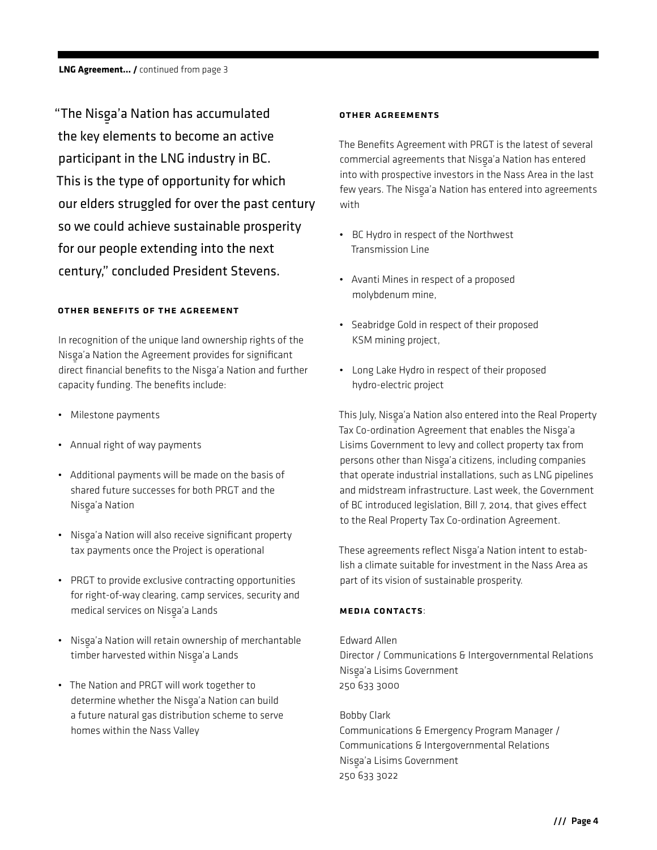"The Nisga'a Nation has accumulated the key elements to become an active participant in the LNG industry in BC. This is the type of opportunity for which our elders struggled for over the past century so we could achieve sustainable prosperity for our people extending into the next century," concluded President Stevens.

#### OTHER BENEFITS OF THE AGREEMENT

In recognition of the unique land ownership rights of the Nisga'a Nation the Agreement provides for significant direct financial benefits to the Nisga'a Nation and further capacity funding. The benefits include:

- Milestone payments
- Annual right of way payments
- Additional payments will be made on the basis of shared future successes for both PRGT and the Nisga'a Nation
- Nisga'a Nation will also receive significant property tax payments once the Project is operational
- PRGT to provide exclusive contracting opportunities for right-of-way clearing, camp services, security and medical services on Nisga'a Lands
- Nisga'a Nation will retain ownership of merchantable<br>- Alisan below the control of the control of the control of the control of the control of the control of the c timber harvested within Nisga'a Lands
- The Nation and PRGT will work together to determine whether the Nisga'a Nation can build a future natural gas distribution scheme to serve homes within the Nass Valley

#### OTHER AGREEMENTS

The Benefits Agreement with PRGT is the latest of several commercial agreements that Nisga'a Nation has entered<br>. into with prospective investors in the Nass Area in the last few years. The Nisga'a Nation has entered into agreements<br>.... with

- BC Hydro in respect of the Northwest Transmission Line
- Avanti Mines in respect of a proposed molybdenum mine,
- Seabridge Gold in respect of their proposed KSM mining project,
- Long Lake Hydro in respect of their proposed hydro-electric project

This July, Nisga'a Nation also entered into the Real Property<br>The Carly Microsoft Tax Co-ordination Agreement that enables the Nisga'a<br>... Lisims Government to levy and collect property tax from persons other than Nisga'a citizens, including companies that operate industrial installations, such as LNG pipelines and midstream infrastructure. Last week, the Government of BC introduced legislation, Bill 7, 2014, that gives effect to the Real Property Tax Co-ordination Agreement.

These agreements reflect Nisga'a Nation intent to establish a climate suitable for investment in the Nass Area as part of its vision of sustainable prosperity.

#### Media Contacts:

Edward Allen Director / Communications & Intergovernmental Relations Nisga'a Lisims Government<br>-250 633 3000

Bobby Clark Communications & Emergency Program Manager / Communications & Intergovernmental Relations Nisga'a Lisims Government<br>-250 633 3022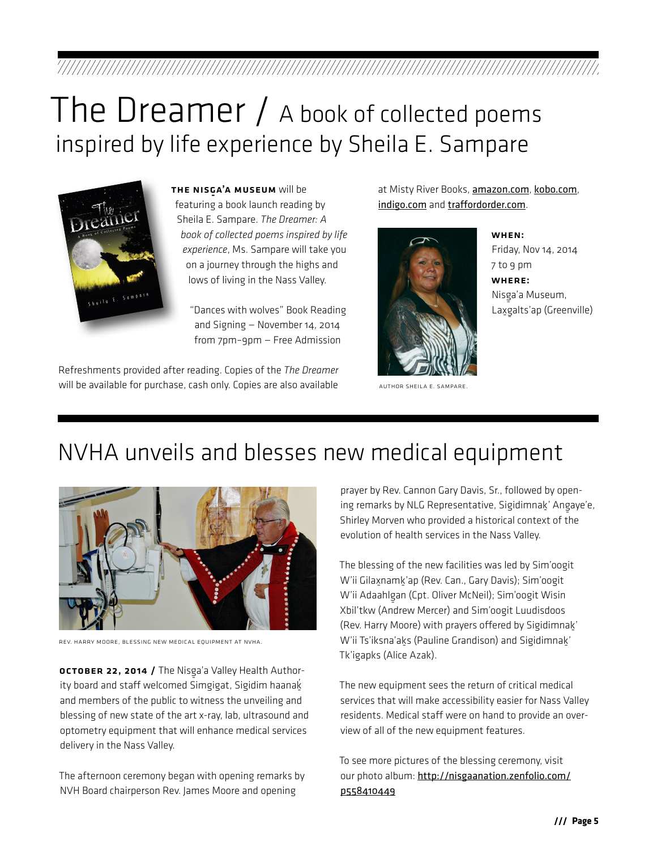## The Dreamer / A book of collected poems inspired by life experience by Sheila E. Sampare



THE NISGA'A MUSEUM will be featuring a book launch reading by Sheila E. Sampare. *The Dreamer: A book of collected poems inspired by life experience*, Ms. Sampare will take you on a journey through the highs and lows of living in the Nass Valley.

> "Dances with wolves" Book Reading and Signing — November 14, 2014 from 7pm–9pm — Free Admission

Refreshments provided after reading. Copies of the *The Dreamer*  Will be available for purchase, cash only. Copies are also available **AUTHOR SHEILA E. SAMPARE** 

at Misty River Books, [amazon.com](http://www.amazon.com), [kobo.com](http://www.kobo.com), [indigo.com](http://www.indigo.com) and [traffordorder.com](http://www.traffordorder.com).



When: Friday, Nov 14, 2014 7 to 9 pm Where: Nisga'a Museum,<br>. Lax្galts'ap (Greenville)

### NVHA unveils and blesses new medical equipment



Rev. Harry Moore, blessing new medical equipment at NVHA.

**OCTOBER 22, 2014 /** The Nisga'a Valley Health Authority board and staff welcomed Simgigat, Sigidim haana $\dot{\underline{\mathsf{g}}}$ and members of the public to witness the unveiling and blessing of new state of the art x-ray, lab, ultrasound and optometry equipment that will enhance medical services delivery in the Nass Valley.

The afternoon ceremony began with opening remarks by NVH Board chairperson Rev. James Moore and opening

prayer by Rev. Cannon Gary Davis, Sr., followed by opening remarks by NLG Representative, Sigidimnak' Angaye'e,<br>Clientes Shirley Morven who provided a historical context of the evolution of health services in the Nass Valley.

The blessing of the new facilities was led by Sim'oogit W'ii Gilax̯namk̪'ap (Rev. Can., Gary Davis); Sim'oogit W'ii Adaahlg‑ an (Cpt. Oliver McNeil); Sim'oogit Wisin Xbil'tkw (Andrew Mercer) and Sim'oogit Luudisdoos (Rev. Harry Moore) with prayers offered by Sigidimnak‑ ' W'ii Ts'iksna'ak̯s (Pauline Grandison) and Sigidimnak̪' Tk'igapks (Alice Azak).

The new equipment sees the return of critical medical services that will make accessibility easier for Nass Valley residents. Medical staff were on hand to provide an overview of all of the new equipment features.

To see more pictures of the blessing ceremony, visit our photo album: [http://nisgaanation.zenfolio.com/](http://nisgaanation.zenfolio.com/p558410449) [p558410449](http://nisgaanation.zenfolio.com/p558410449)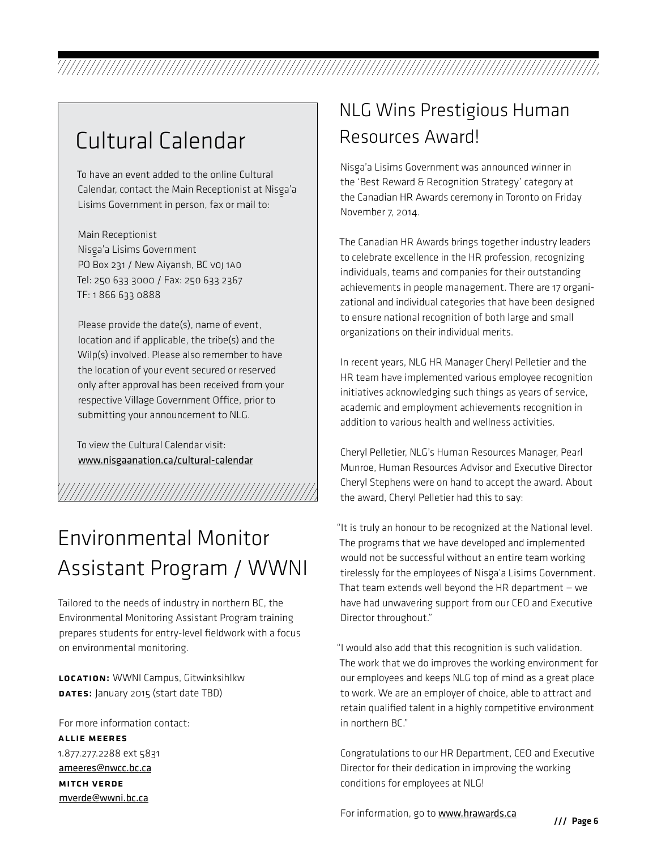## Cultural Calendar

To have an event added to the online Cultural Calendar, contact the Main Receptionist at Nisga'a Lisims Government in person, fax or mail to:

Main Receptionist Nisga'a Lisims Government<br>———————————————————— PO Box 231 / New Aiyansh, BC voj 1A0 Tel: 250 633 3000 / Fax: 250 633 2367 TF: 1 866 633 0888

Please provide the date(s), name of event, location and if applicable, the tribe(s) and the Wilp(s) involved. Please also remember to have the location of your event secured or reserved only after approval has been received from your respective Village Government Office, prior to submitting your announcement to NLG.

To view the Cultural Calendar visit: www.nisgaanation.ca/cultural-calendar

## Environmental Monitor Assistant Program / WWNI

Tailored to the needs of industry in northern BC, the Environmental Monitoring Assistant Program training prepares students for entry-level fieldwork with a focus on environmental monitoring.

LOCATION: WWNI Campus, Gitwinksihlkw DATES: January 2015 (start date TBD)

For more information contact: Allie Meeres 1.877.277.2288 ext 5831 ameeres@nwcc.bc.ca Mitch Verde mverde@wwni.bc.ca

### NLG Wins Prestigious Human Resources Award!

Nisg‑ a'a Lisims Government was announced winner in the 'Best Reward & Recognition Strategy' category at the Canadian HR Awards ceremony in Toronto on Friday November 7, 2014.

The Canadian HR Awards brings together industry leaders to celebrate excellence in the HR profession, recognizing individuals, teams and companies for their outstanding achievements in people management. There are 17 organizational and individual categories that have been designed to ensure national recognition of both large and small organizations on their individual merits.

In recent years, NLG HR Manager Cheryl Pelletier and the HR team have implemented various employee recognition initiatives acknowledging such things as years of service, academic and employment achievements recognition in addition to various health and wellness activities.

Cheryl Pelletier, NLG's Human Resources Manager, Pearl Munroe, Human Resources Advisor and Executive Director Cheryl Stephens were on hand to accept the award. About the award, Cheryl Pelletier had this to say:

"It is truly an honour to be recognized at the National level. The programs that we have developed and implemented would not be successful without an entire team working tirelessly for the employees of Nisga'a Lisims Government.<br>The contribution of the contribution of the contribution of the contribution of the contribution of the contri That team extends well beyond the HR department  $-$  we have had unwavering support from our CEO and Executive Director throughout."

"I would also add that this recognition is such validation. The work that we do improves the working environment for our employees and keeps NLG top of mind as a great place to work. We are an employer of choice, able to attract and retain qualified talent in a highly competitive environment in northern BC."

Congratulations to our HR Department, CEO and Executive Director for their dedication in improving the working conditions for employees at NLG!

For information, go to www.hrawards.ca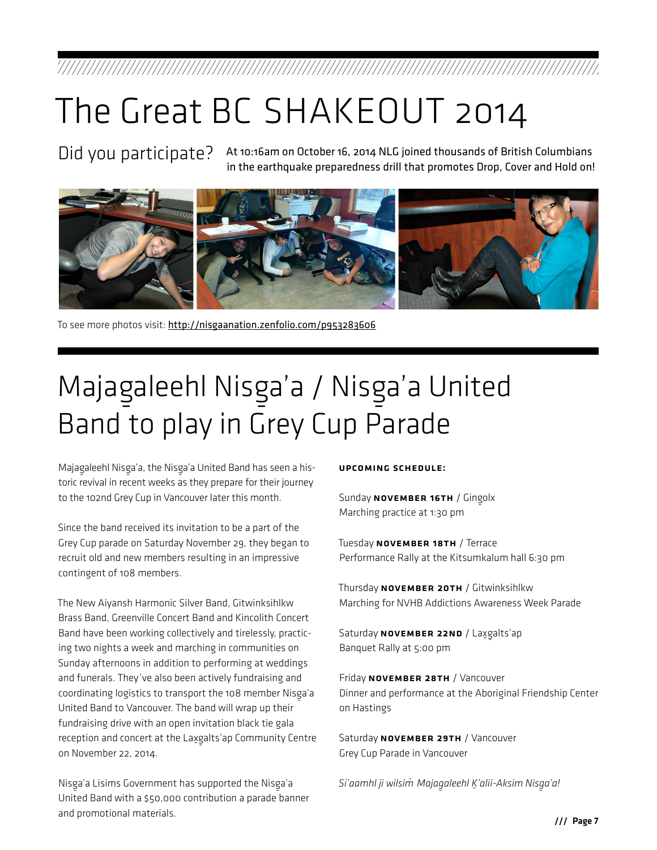## The Great BC SHAKEOUT 2014

Did you participate? At 10:16am on October 16, 2014 NLG joined thousands of British Columbians in the earthquake preparedness drill that promotes Drop, Cover and Hold on!



To see more photos visit: <http://nisgaanation.zenfolio.com/p953283606>

## Majagaleehl Nisga'a / Nisga'a United Band to play in Grey Cup Parade

Majagaleehl Nisga'a, the Nisga'a United Band has seen a his-<br>. toric revival in recent weeks as they prepare for their journey to the 102nd Grey Cup in Vancouver later this month.

Since the band received its invitation to be a part of the Grey Cup parade on Saturday November 29, they began to recruit old and new members resulting in an impressive contingent of 108 members.

The New Aiyansh Harmonic Silver Band, Gitwinksihlkw Brass Band, Greenville Concert Band and Kincolith Concert Band have been working collectively and tirelessly, practicing two nights a week and marching in communities on Sunday afternoons in addition to performing at weddings and funerals. They've also been actively fundraising and coordinating logistics to transport the 108 member Nisg‑ a'a United Band to Vancouver. The band will wrap up their fundraising drive with an open invitation black tie gala reception and concert at the Laxgalts'ap Community Centre on November 22, 2014.

Nisg‑ a'a Lisims Government has supported the Nisg‑ a'a United Band with a \$50,000 contribution a parade banner and promotional materials.

#### Upcoming schedule:

Sunday NOVEMBER 16TH / Gingolx<br>... Marching practice at 1:30 pm

Tuesday NOVEMBER 18TH / Terrace Performance Rally at the Kitsumkalum hall 6:30 pm

Thursday NOVEMBER 20TH / Gitwinksihlkw Marching for NVHB Addictions Awareness Week Parade

Saturday NOVEMBER 22ND / Lax្galts'ap<br>— Banquet Rally at 5:00 pm

Friday NOVEMBER 28TH / Vancouver Dinner and performance at the Aboriginal Friendship Center on Hastings

Saturday NOVEMBER 29TH / Vancouver Grey Cup Parade in Vancouver

*Si'aamhl ji wilsim' Majag-aleehl K-'alii-Aksim Nisg-a'a!*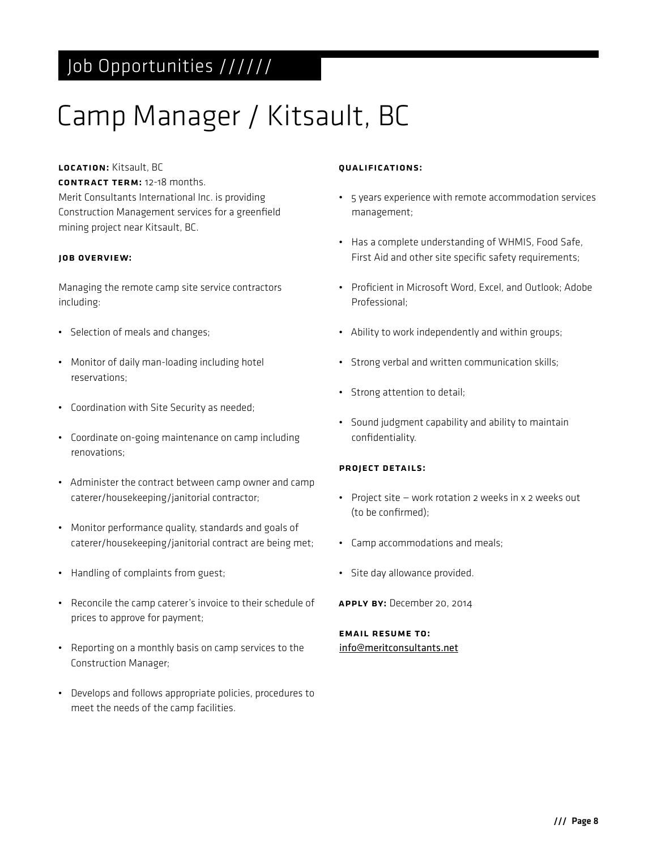## Job Opportunities //////

## Camp Manager / Kitsault, BC

#### LOCATION: Kitsault, BC

Contract Term: 12-18 months.

Merit Consultants International Inc. is providing Construction Management services for a greenfield mining project near Kitsault, BC.

#### Job Overview:

Managing the remote camp site service contractors including:

- Selection of meals and changes;
- Monitor of daily man-loading including hotel reservations;
- Coordination with Site Security as needed;
- Coordinate on-going maintenance on camp including renovations;
- Administer the contract between camp owner and camp caterer/housekeeping/janitorial contractor;
- Monitor performance quality, standards and goals of caterer/housekeeping/janitorial contract are being met;
- Handling of complaints from guest;
- Reconcile the camp caterer's invoice to their schedule of prices to approve for payment;
- Reporting on a monthly basis on camp services to the Construction Manager;
- Develops and follows appropriate policies, procedures to meet the needs of the camp facilities.

#### Qualifications:

- 5 years experience with remote accommodation services management;
- Has a complete understanding of WHMIS, Food Safe, First Aid and other site specific safety requirements;
- Proficient in Microsoft Word, Excel, and Outlook; Adobe Professional;
- Ability to work independently and within groups;
- Strong verbal and written communication skills;
- Strong attention to detail;
- Sound judgment capability and ability to maintain confidentiality.

#### Project Details:

- Project site work rotation 2 weeks in x 2 weeks out (to be confirmed);
- Camp accommodations and meals;
- Site day allowance provided.
- Apply By: December 20, 2014

Email resume to: info@meritconsultants.net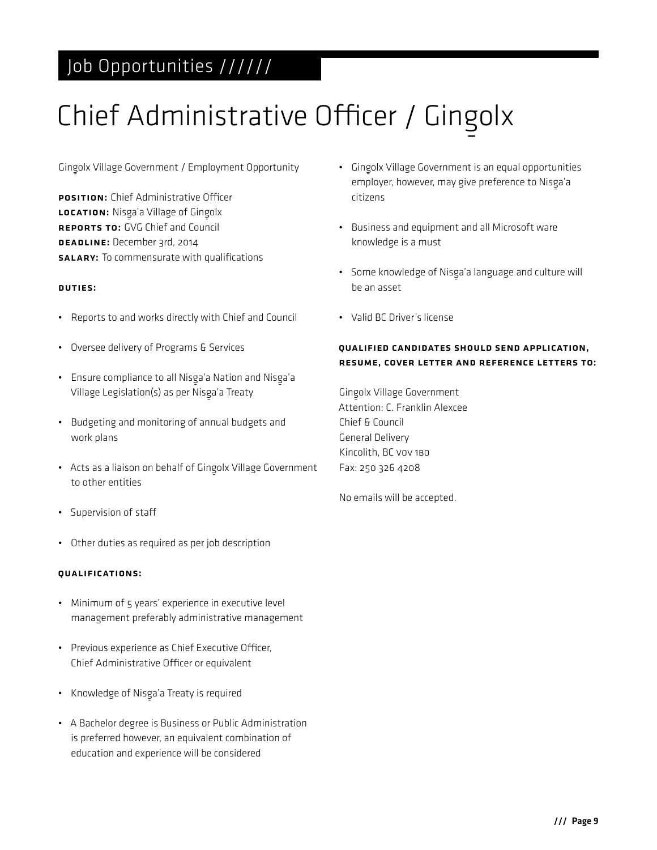### Job Opportunities //////

# Chief Administrative Officer / Gingolx

Ging‑ olx Village Government / Employment Opportunity

POSITION: Chief Administrative Officer LOCATION: Nisga'a Village of Gingolx Reports to: GVG Chief and Council DEADLINE: December 3rd, 2014 **SALARY:** To commensurate with qualifications

#### Duties:

- Reports to and works directly with Chief and Council
- Oversee delivery of Programs & Services
- Ensure compliance to all Nisga'a Nation and Nisga'a Village Legislation(s) as per Nisga'a Treaty
- Budgeting and monitoring of annual budgets and work plans
- Acts as a liaison on behalf of Gingolx Village Government to other entities
- Supervision of staff
- Other duties as required as per job description

#### Qualifications:

- Minimum of 5 years' experience in executive level management preferably administrative management
- Previous experience as Chief Executive Officer, Chief Administrative Officer or equivalent
- $\bullet$  Knowledge of Nisga'a Treaty is required
- A Bachelor degree is Business or Public Administration is preferred however, an equivalent combination of education and experience will be considered
- Gingolx Village Government is an equal opportunities employer, however, may give preference to Nisga'a<br>... citizens
- Business and equipment and all Microsoft ware knowledge is a must
- Some knowledge of Nisga'a language and culture will<br>. be an asset
- Valid BC Driver's license

#### Qualified candidates should send application, resume, cover letter and reference letters to:

Gingolx Village Government Attention: C. Franklin Alexcee Chief & Council General Delivery Kincolith, BC V0V 1B0 Fax: 250 326 4208

No emails will be accepted.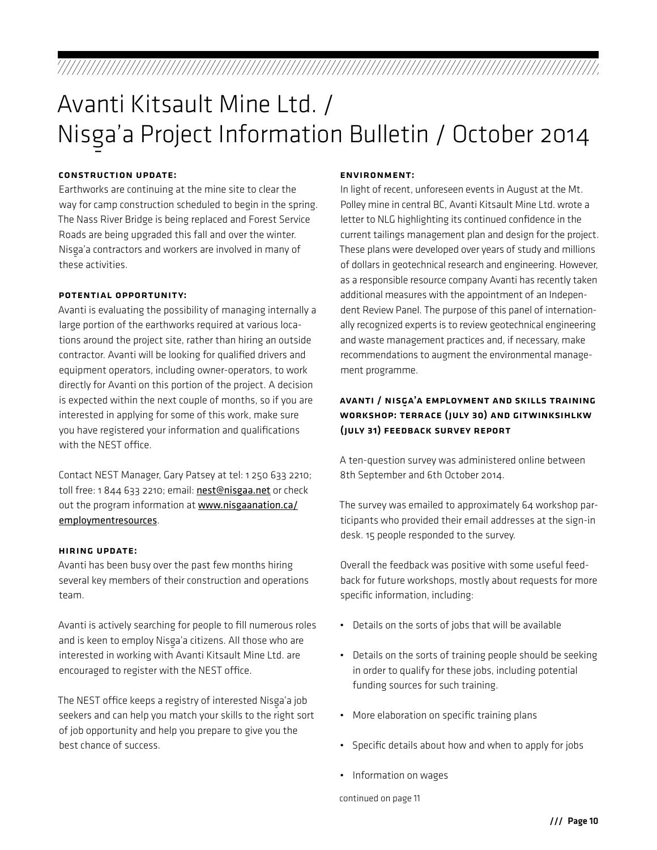## Avanti Kitsault Mine Ltd. / Nisg-a'a Project Information Bulletin / October 2014

#### Construction update:

Earthworks are continuing at the mine site to clear the way for camp construction scheduled to begin in the spring. The Nass River Bridge is being replaced and Forest Service Roads are being upgraded this fall and over the winter. Nisga'a contractors and workers are involved in many of<br>... these activities.

#### Potential Opportunity:

Avanti is evaluating the possibility of managing internally a large portion of the earthworks required at various locations around the project site, rather than hiring an outside contractor. Avanti will be looking for qualified drivers and equipment operators, including owner-operators, to work directly for Avanti on this portion of the project. A decision is expected within the next couple of months, so if you are interested in applying for some of this work, make sure you have registered your information and qualifications with the NEST office.

Contact NEST Manager, Gary Patsey at tel: 1 250 633 2210; toll free: 1 844 633 2210; email: nest@nisgaa.net or check out the program information at [www.nisgaanation.ca/](www.nisgaanation.ca/employmentresources) [employmentresources](www.nisgaanation.ca/employmentresources).

#### Hiring update:

Avanti has been busy over the past few months hiring several key members of their construction and operations team.

Avanti is actively searching for people to fill numerous roles and is keen to employ Nisga'a citizens. All those who are interested in working with Avanti Kitsault Mine Ltd. are encouraged to register with the NEST office.

The NEST office keeps a registry of interested Nisg‑ a'a job seekers and can help you match your skills to the right sort of job opportunity and help you prepare to give you the best chance of success.

#### Environment:

In light of recent, unforeseen events in August at the Mt. Polley mine in central BC, Avanti Kitsault Mine Ltd. wrote a letter to NLG highlighting its continued confidence in the current tailings management plan and design for the project. These plans were developed over years of study and millions of dollars in geotechnical research and engineering. However, as a responsible resource company Avanti has recently taken additional measures with the appointment of an Independent Review Panel. The purpose of this panel of internationally recognized experts is to review geotechnical engineering and waste management practices and, if necessary, make recommendations to augment the environmental management programme.

#### AVANTI / NISGA'A EMPLOYMENT AND SKILLS TRAINING Workshop: Terrace (July 30) and Gitwinksihlkw (July 31) Feedback Survey Report

A ten-question survey was administered online between 8th September and 6th October 2014.

The survey was emailed to approximately 64 workshop participants who provided their email addresses at the sign-in desk. 15 people responded to the survey.

Overall the feedback was positive with some useful feedback for future workshops, mostly about requests for more specific information, including:

- Details on the sorts of jobs that will be available
- Details on the sorts of training people should be seeking in order to qualify for these jobs, including potential funding sources for such training.
- More elaboration on specific training plans
- Specific details about how and when to apply for jobs
- Information on wages

continued on page 11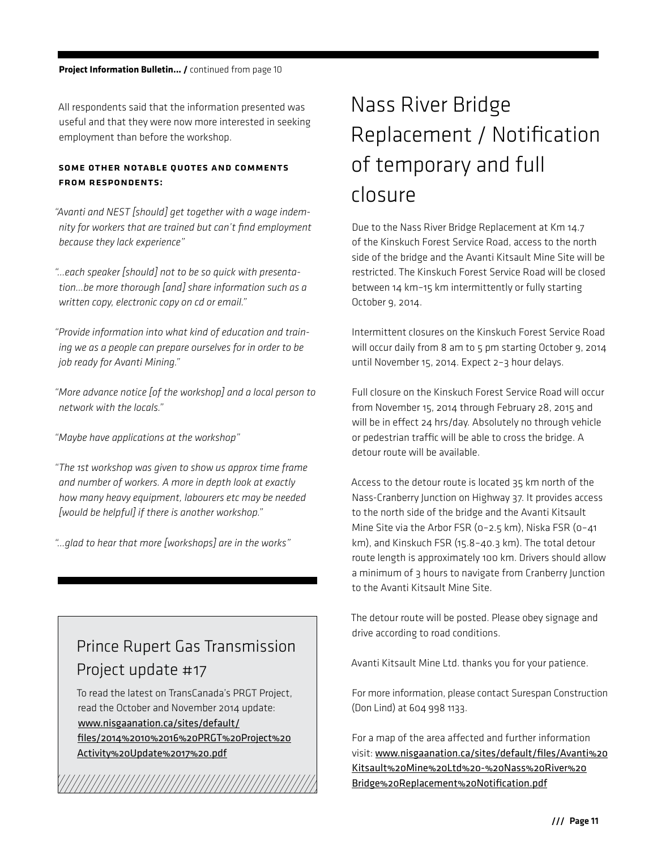All respondents said that the information presented was useful and that they were now more interested in seeking employment than before the workshop.

#### Some other notable quotes and comments from respondents:

*"Avanti and NEST [should] get together with a wage indemnity for workers that are trained but can't find employment because they lack experience"*

*"…each speaker [should] not to be so quick with presentation…be more thorough [and] share information such as a written copy, electronic copy on cd or email."*

*"Provide information into what kind of education and training we as a people can prepare ourselves for in order to be job ready for Avanti Mining."*

*"More advance notice [of the workshop] and a local person to network with the locals."*

*"Maybe have applications at the workshop"*

*"The 1st workshop was given to show us approx time frame and number of workers. A more in depth look at exactly how many heavy equipment, labourers etc may be needed [would be helpful] if there is another workshop."*

*"…glad to hear that more [workshops] are in the works"*

### Prince Rupert Gas Transmission Project update #17

To read the latest on TransCanada's PRGT Project, read the October and November 2014 update: www.nisgaanation.ca/sites/default/ files/2014%2010%2016%20PRGT%20Project%20 Activity%20Update%2017%20.pdf

## Nass River Bridge Replacement / Notification of temporary and full closure

Due to the Nass River Bridge Replacement at Km 14.7 of the Kinskuch Forest Service Road, access to the north side of the bridge and the Avanti Kitsault Mine Site will be restricted. The Kinskuch Forest Service Road will be closed between 14 km–15 km intermittently or fully starting October 9, 2014.

Intermittent closures on the Kinskuch Forest Service Road will occur daily from 8 am to 5 pm starting October 9, 2014 until November 15, 2014. Expect 2–3 hour delays.

Full closure on the Kinskuch Forest Service Road will occur from November 15, 2014 through February 28, 2015 and will be in effect 24 hrs/day. Absolutely no through vehicle or pedestrian traffic will be able to cross the bridge. A detour route will be available.

Access to the detour route is located 35 km north of the Nass-Cranberry Junction on Highway 37. It provides access to the north side of the bridge and the Avanti Kitsault Mine Site via the Arbor FSR (0–2.5 km), Niska FSR (0–41 km), and Kinskuch FSR (15.8–40.3 km). The total detour route length is approximately 100 km. Drivers should allow a minimum of 3 hours to navigate from Cranberry Junction to the Avanti Kitsault Mine Site.

The detour route will be posted. Please obey signage and drive according to road conditions.

Avanti Kitsault Mine Ltd. thanks you for your patience.

For more information, please contact Surespan Construction (Don Lind) at 604 998 1133.

For a map of the area affected and further information visit: www.nisgaanation.ca/sites/default/files/Avanti%20 Kitsault%20Mine%20Ltd%20-%20Nass%20River%20 Bridge%20Replacement%20Notification.pdf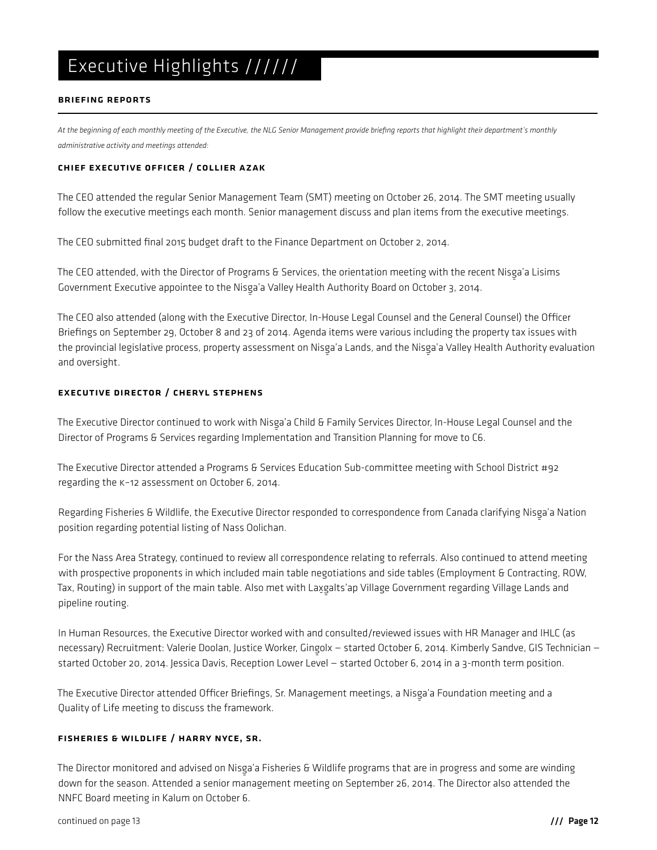#### BRIEFING REPORTS

*At the beginning of each monthly meeting of the Executive, the NLG Senior Management provide briefing reports that highlight their department's monthly administrative activity and meetings attended:* 

#### Chief Executive Officer / Collier Azak

The CEO attended the regular Senior Management Team (SMT) meeting on October 26, 2014. The SMT meeting usually follow the executive meetings each month. Senior management discuss and plan items from the executive meetings.

The CEO submitted final 2015 budget draft to the Finance Department on October 2, 2014.

The CEO attended, with the Director of Programs & Services, the orientation meeting with the recent Nisga'a Lisims<br>Canada in the contract of the University of the University of the Canada in the Canada in the recent Nisga' Government Executive appointee to the Nisga'a Valley Health Authority Board on October 3, 2014.<br>-

The CEO also attended (along with the Executive Director, In-House Legal Counsel and the General Counsel) the Officer Briefings on September 29, October 8 and 23 of 2014. Agenda items were various including the property tax issues with the provincial legislative process, property assessment on Nisg‑ a'a Lands, and the Nisg‑ a'a Valley Health Authority evaluation and oversight.

#### Executive Director / Cheryl Stephens

The Executive Director continued to work with Nisga'a Child & Family Services Director, In-House Legal Counsel and the<br>- All the Campions of Campions of the University of the Campions of the Campions of the Campions of the Director of Programs & Services regarding Implementation and Transition Planning for move to C6.

The Executive Director attended a Programs & Services Education Sub-committee meeting with School District #92 regarding the K–12 assessment on October 6, 2014.

Regarding Fisheries & Wildlife, the Executive Director responded to correspondence from Canada clarifying Nisg‑ a'a Nation position regarding potential listing of Nass Oolichan.

For the Nass Area Strategy, continued to review all correspondence relating to referrals. Also continued to attend meeting with prospective proponents in which included main table negotiations and side tables (Employment & Contracting, ROW, Tax, Routing) in support of the main table. Also met with Lax‑ g ‑ alts'ap Village Government regarding Village Lands and pipeline routing.

In Human Resources, the Executive Director worked with and consulted/reviewed issues with HR Manager and IHLC (as necessary) Recruitment: Valerie Doolan, Justice Worker, Gingolx – started October 6, 2014. Kimberly Sandve, GIS Technician –<br>- Started Words started October 20, 2014. Jessica Davis, Reception Lower Level — started October 6, 2014 in a 3-month term position.

The Executive Director attended Officer Briefings, Sr. Management meetings, a Nisga'a Foundation meeting and a<br>Can War Strift Microsoft Quality of Life meeting to discuss the framework.

#### fisheries & Wildlife / Harry Nyce, sr.

The Director monitored and advised on Nisg‑ a'a Fisheries & Wildlife programs that are in progress and some are winding down for the season. Attended a senior management meeting on September 26, 2014. The Director also attended the NNFC Board meeting in Kalum on October 6.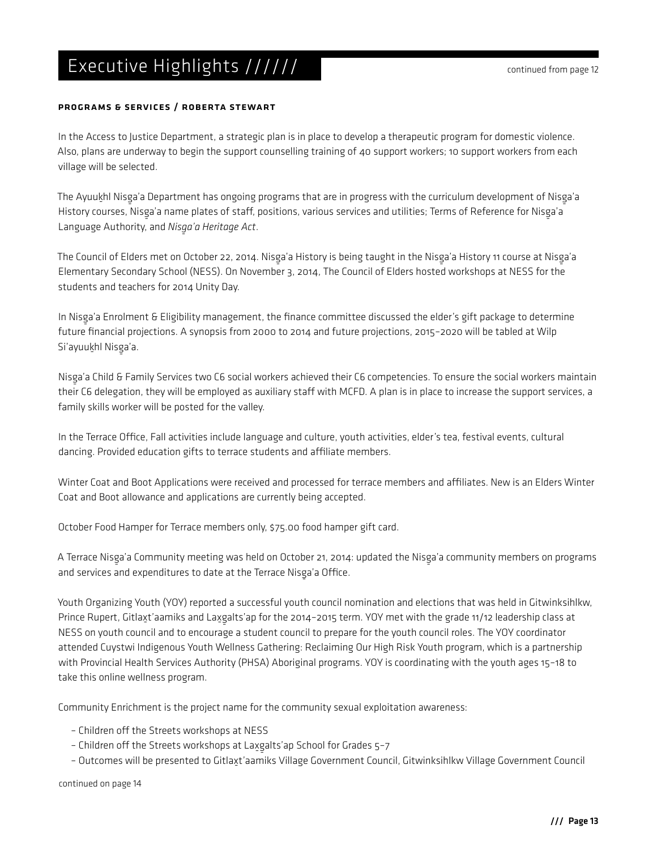#### Programs & Services / Roberta Stewart

In the Access to Justice Department, a strategic plan is in place to develop a therapeutic program for domestic violence. Also, plans are underway to begin the support counselling training of 40 support workers; 10 support workers from each village will be selected.

The Ayuuk‑ hl Nisg‑ a'a Department has ongoing programs that are in progress with the curriculum development of Nisg‑ a'a History courses, Nisga'a name plates of staff, positions, various services and utilities; Terms of Reference for Nisga'a<br>. Language Authority, and *Nisga'a Heritage Act*.

The Council of Elders met on October 22, 2014. Nisg‑ a'a History is being taught in the Nisg‑ a'a History 11 course at Nisg‑ a'a Elementary Secondary School (NESS). On November 3, 2014, The Council of Elders hosted workshops at NESS for the students and teachers for 2014 Unity Day.

In Nisga'a Enrolment & Eligibility management, the finance committee discussed the elder's gift package to determine<br>Committee discussed the elder's gift package to determine future financial projections. A synopsis from 2000 to 2014 and future projections, 2015–2020 will be tabled at Wilp Si'ayuuk॒hl Nisga'a.

Nisga'a Child & Family Services two C6 social workers achieved their C6 competencies. To ensure the social workers maintain<br>We also the computation with the computation of the computation of the computation of the computat their C6 delegation, they will be employed as auxiliary staff with MCFD. A plan is in place to increase the support services, a family skills worker will be posted for the valley.

In the Terrace Office, Fall activities include language and culture, youth activities, elder's tea, festival events, cultural dancing. Provided education gifts to terrace students and affiliate members.

Winter Coat and Boot Applications were received and processed for terrace members and affiliates. New is an Elders Winter Coat and Boot allowance and applications are currently being accepted.

October Food Hamper for Terrace members only, \$75.00 food hamper gift card.

A Terrace Nisg‑ a'a Community meeting was held on October 21, 2014: updated the Nisg‑ a'a community members on programs and services and expenditures to date at the Terrace Nisga'a Office.

Youth Organizing Youth (YOY) reported a successful youth council nomination and elections that was held in Gitwinksihlkw, Prince Rupert, Gitlax‑ t'aamiks and Lax‑ g ‑ alts'ap for the 2014–2015 term. YOY met with the grade 11/12 leadership class at NESS on youth council and to encourage a student council to prepare for the youth council roles. The YOY coordinator attended Cuystwi Indigenous Youth Wellness Gathering: Reclaiming Our High Risk Youth program, which is a partnership with Provincial Health Services Authority (PHSA) Aboriginal programs. YOY is coordinating with the youth ages 15–18 to take this online wellness program.

Community Enrichment is the project name for the community sexual exploitation awareness:

- Children off the Streets workshops at NESS
- Children off the Streets workshops at Lax្ទ alts'ap School for Grades 5-7
- ‑ Outcomes will be presented to Gitlax‑ t'aamiks Village Government Council, Gitwinksihlkw Village Government Council

continued on page 14